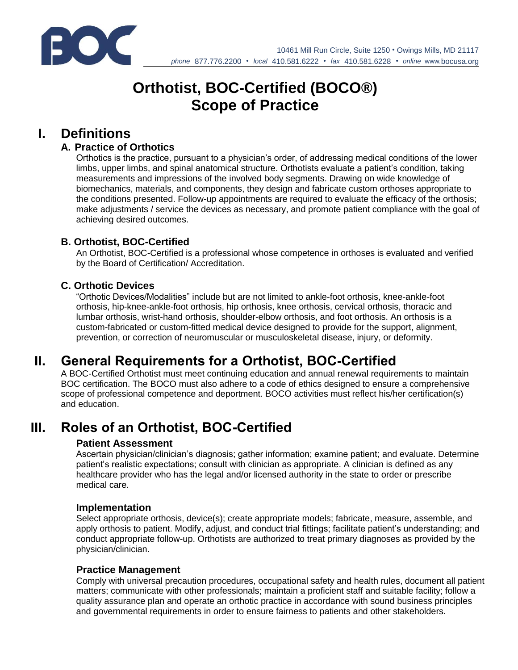

# **Orthotist, BOC-Certified (BOCO®) Scope of Practice**

# **I. Definitions**

## **A. Practice of Orthotics**

Orthotics is the practice, pursuant to a physician's order, of addressing medical conditions of the lower limbs, upper limbs, and spinal anatomical structure. Orthotists evaluate a patient's condition, taking measurements and impressions of the involved body segments. Drawing on wide knowledge of biomechanics, materials, and components, they design and fabricate custom orthoses appropriate to the conditions presented. Follow-up appointments are required to evaluate the efficacy of the orthosis; make adjustments / service the devices as necessary, and promote patient compliance with the goal of achieving desired outcomes.

### **B. Orthotist, BOC-Certified**

An Orthotist, BOC-Certified is a professional whose competence in orthoses is evaluated and verified by the Board of Certification/ Accreditation.

# **C. Orthotic Devices**

"Orthotic Devices/Modalities" include but are not limited to ankle-foot orthosis, knee-ankle-foot orthosis, hip-knee-ankle-foot orthosis, hip orthosis, knee orthosis, cervical orthosis, thoracic and lumbar orthosis, wrist-hand orthosis, shoulder-elbow orthosis, and foot orthosis. An orthosis is a custom-fabricated or custom-fitted medical device designed to provide for the support, alignment, prevention, or correction of neuromuscular or musculoskeletal disease, injury, or deformity.

# **II. General Requirements for a Orthotist, BOC-Certified**

A BOC-Certified Orthotist must meet continuing education and annual renewal requirements to maintain BOC certification. The BOCO must also adhere to a code of ethics designed to ensure a comprehensive scope of professional competence and deportment. BOCO activities must reflect his/her certification(s) and education.

# **III. Roles of an Orthotist, BOC-Certified**

### **Patient Assessment**

Ascertain physician/clinician's diagnosis; gather information; examine patient; and evaluate. Determine patient's realistic expectations; consult with clinician as appropriate. A clinician is defined as any healthcare provider who has the legal and/or licensed authority in the state to order or prescribe medical care.

#### **Implementation**

Select appropriate orthosis, device(s); create appropriate models; fabricate, measure, assemble, and apply orthosis to patient. Modify, adjust, and conduct trial fittings; facilitate patient's understanding; and conduct appropriate follow-up. Orthotists are authorized to treat primary diagnoses as provided by the physician/clinician.

#### **Practice Management**

Comply with universal precaution procedures, occupational safety and health rules, document all patient matters; communicate with other professionals; maintain a proficient staff and suitable facility; follow a quality assurance plan and operate an orthotic practice in accordance with sound business principles and governmental requirements in order to ensure fairness to patients and other stakeholders.